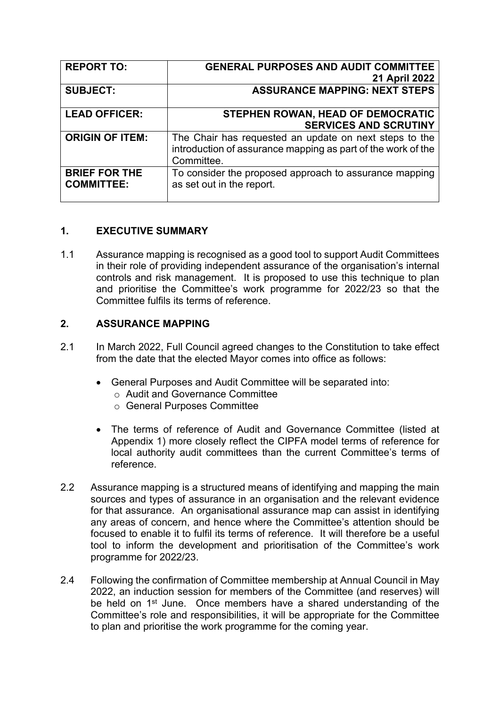| <b>REPORT TO:</b>                         | <b>GENERAL PURPOSES AND AUDIT COMMITTEE</b><br><b>21 April 2022</b>                                                                  |
|-------------------------------------------|--------------------------------------------------------------------------------------------------------------------------------------|
| <b>SUBJECT:</b>                           | <b>ASSURANCE MAPPING: NEXT STEPS</b>                                                                                                 |
| <b>LEAD OFFICER:</b>                      | STEPHEN ROWAN, HEAD OF DEMOCRATIC<br><b>SERVICES AND SCRUTINY</b>                                                                    |
| <b>ORIGIN OF ITEM:</b>                    | The Chair has requested an update on next steps to the<br>introduction of assurance mapping as part of the work of the<br>Committee. |
| <b>BRIEF FOR THE</b><br><b>COMMITTEE:</b> | To consider the proposed approach to assurance mapping<br>as set out in the report.                                                  |

# **1. EXECUTIVE SUMMARY**

1.1 Assurance mapping is recognised as a good tool to support Audit Committees in their role of providing independent assurance of the organisation's internal controls and risk management. It is proposed to use this technique to plan and prioritise the Committee's work programme for 2022/23 so that the Committee fulfils its terms of reference.

# **2. ASSURANCE MAPPING**

- 2.1 In March 2022, Full Council agreed changes to the Constitution to take effect from the date that the elected Mayor comes into office as follows:
	- General Purposes and Audit Committee will be separated into:
		- o Audit and Governance Committee
		- o General Purposes Committee
	- The terms of reference of Audit and Governance Committee (listed at Appendix 1) more closely reflect the CIPFA model terms of reference for local authority audit committees than the current Committee's terms of reference.
- 2.2 Assurance mapping is a structured means of identifying and mapping the main sources and types of assurance in an organisation and the relevant evidence for that assurance. An organisational assurance map can assist in identifying any areas of concern, and hence where the Committee's attention should be focused to enable it to fulfil its terms of reference. It will therefore be a useful tool to inform the development and prioritisation of the Committee's work programme for 2022/23.
- 2.4 Following the confirmation of Committee membership at Annual Council in May 2022, an induction session for members of the Committee (and reserves) will be held on 1<sup>st</sup> June. Once members have a shared understanding of the Committee's role and responsibilities, it will be appropriate for the Committee to plan and prioritise the work programme for the coming year.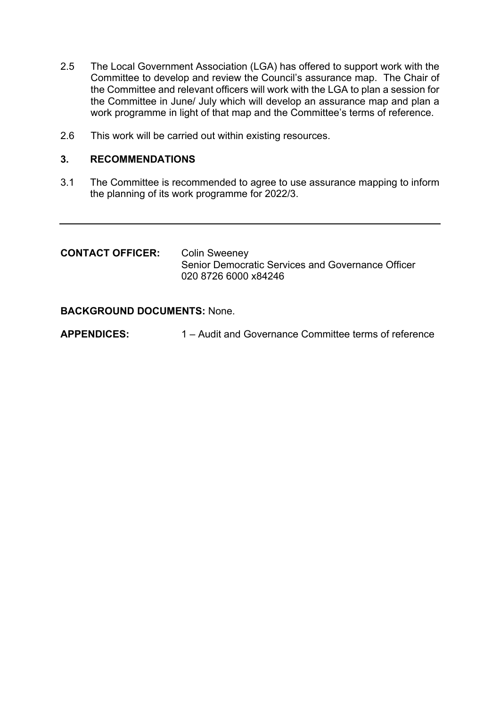- 2.5 The Local Government Association (LGA) has offered to support work with the Committee to develop and review the Council's assurance map. The Chair of the Committee and relevant officers will work with the LGA to plan a session for the Committee in June/ July which will develop an assurance map and plan a work programme in light of that map and the Committee's terms of reference.
- 2.6 This work will be carried out within existing resources.

# **3. RECOMMENDATIONS**

3.1 The Committee is recommended to agree to use assurance mapping to inform the planning of its work programme for 2022/3.

| <b>CONTACT OFFICER:</b> | <b>Colin Sweeney</b><br>Senior Democratic Services and Governance Officer<br>020 8726 6000 x84246 |
|-------------------------|---------------------------------------------------------------------------------------------------|
|                         |                                                                                                   |

### **BACKGROUND DOCUMENTS:** None.

**APPENDICES:** 1 – Audit and Governance Committee terms of reference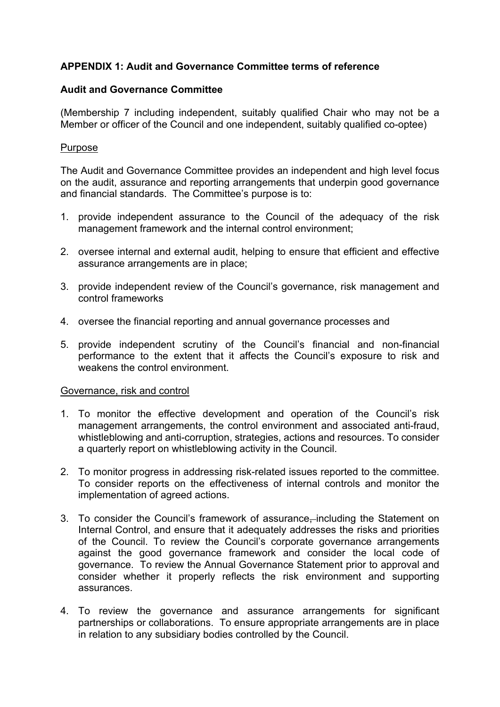# **APPENDIX 1: Audit and Governance Committee terms of reference**

### **Audit and Governance Committee**

(Membership 7 including independent, suitably qualified Chair who may not be a Member or officer of the Council and one independent, suitably qualified co-optee)

## Purpose

The Audit and Governance Committee provides an independent and high level focus on the audit, assurance and reporting arrangements that underpin good governance and financial standards. The Committee's purpose is to:

- 1. provide independent assurance to the Council of the adequacy of the risk management framework and the internal control environment;
- 2. oversee internal and external audit, helping to ensure that efficient and effective assurance arrangements are in place;
- 3. provide independent review of the Council's governance, risk management and control frameworks
- 4. oversee the financial reporting and annual governance processes and
- 5. provide independent scrutiny of the Council's financial and non-financial performance to the extent that it affects the Council's exposure to risk and weakens the control environment.

### Governance, risk and control

- 1. To monitor the effective development and operation of the Council's risk management arrangements, the control environment and associated anti-fraud, whistleblowing and anti-corruption, strategies, actions and resources. To consider a quarterly report on whistleblowing activity in the Council.
- 2. To monitor progress in addressing risk-related issues reported to the committee. To consider reports on the effectiveness of internal controls and monitor the implementation of agreed actions.
- 3. To consider the Council's framework of assurance, including the Statement on Internal Control, and ensure that it adequately addresses the risks and priorities of the Council. To review the Council's corporate governance arrangements against the good governance framework and consider the local code of governance. To review the Annual Governance Statement prior to approval and consider whether it properly reflects the risk environment and supporting assurances.
- 4. To review the governance and assurance arrangements for significant partnerships or collaborations. To ensure appropriate arrangements are in place in relation to any subsidiary bodies controlled by the Council.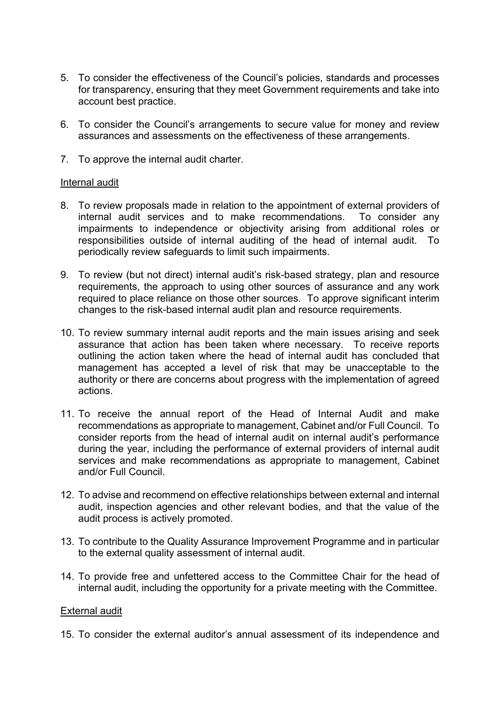- 5. To consider the effectiveness of the Council's policies, standards and processes for transparency, ensuring that they meet Government requirements and take into account best practice.
- 6. To consider the Council's arrangements to secure value for money and review assurances and assessments on the effectiveness of these arrangements.
- 7. To approve the internal audit charter.

#### Internal audit

- 8. To review proposals made in relation to the appointment of external providers of internal audit services and to make recommendations. To consider any impairments to independence or objectivity arising from additional roles or responsibilities outside of internal auditing of the head of internal audit. To periodically review safeguards to limit such impairments.
- 9. To review (but not direct) internal audit's risk-based strategy, plan and resource requirements, the approach to using other sources of assurance and any work required to place reliance on those other sources. To approve significant interim changes to the risk-based internal audit plan and resource requirements.
- 10. To review summary internal audit reports and the main issues arising and seek assurance that action has been taken where necessary. To receive reports outlining the action taken where the head of internal audit has concluded that management has accepted a level of risk that may be unacceptable to the authority or there are concerns about progress with the implementation of agreed actions.
- 11. To receive the annual report of the Head of Internal Audit and make recommendations as appropriate to management, Cabinet and/or Full Council. To consider reports from the head of internal audit on internal audit's performance during the year, including the performance of external providers of internal audit services and make recommendations as appropriate to management, Cabinet and/or Full Council.
- 12. To advise and recommend on effective relationships between external and internal audit, inspection agencies and other relevant bodies, and that the value of the audit process is actively promoted.
- 13. To contribute to the Quality Assurance Improvement Programme and in particular to the external quality assessment of internal audit.
- 14. To provide free and unfettered access to the Committee Chair for the head of internal audit, including the opportunity for a private meeting with the Committee.

#### External audit

15. To consider the external auditor's annual assessment of its independence and